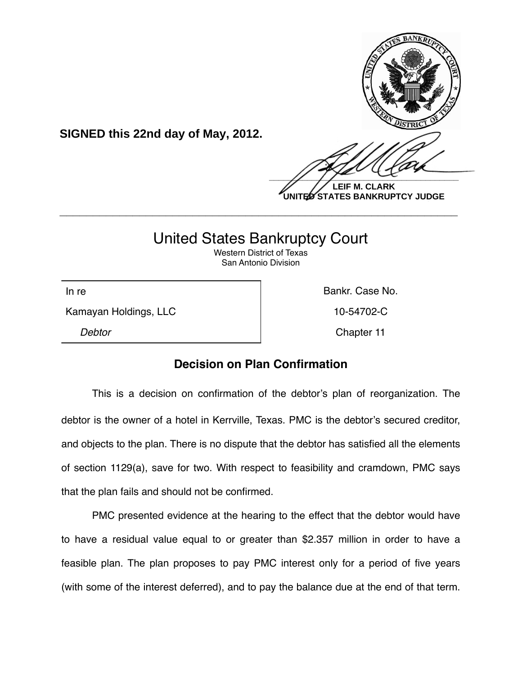

**UNITED STATES BANKRUPTCY JUDGE**

## United States Bankruptcy Court

**\_\_\_\_\_\_\_\_\_\_\_\_\_\_\_\_\_\_\_\_\_\_\_\_\_\_\_\_\_\_\_\_\_\_\_\_\_\_\_\_\_\_\_\_\_\_\_\_\_\_\_\_\_\_\_\_\_\_\_\_**

Western District of Texas San Antonio Division

Kamayan Holdings, LLC 10-54702-C

**SIGNED this 22nd day of May, 2012.**

In re **Bankr.** Case No. *Debtor* Chapter 11

## **Decision on Plan Confirmation**

This is a decision on confirmation of the debtor's plan of reorganization. The debtor is the owner of a hotel in Kerrville, Texas. PMC is the debtor's secured creditor, and objects to the plan. There is no dispute that the debtor has satisfied all the elements of section 1129(a), save for two. With respect to feasibility and cramdown, PMC says that the plan fails and should not be confirmed.

PMC presented evidence at the hearing to the effect that the debtor would have to have a residual value equal to or greater than \$2.357 million in order to have a feasible plan. The plan proposes to pay PMC interest only for a period of five years (with some of the interest deferred), and to pay the balance due at the end of that term.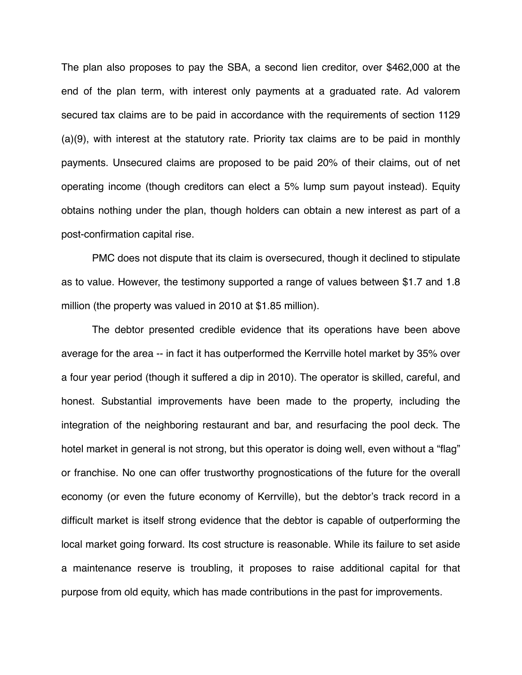The plan also proposes to pay the SBA, a second lien creditor, over \$462,000 at the end of the plan term, with interest only payments at a graduated rate. Ad valorem secured tax claims are to be paid in accordance with the requirements of section 1129 (a)(9), with interest at the statutory rate. Priority tax claims are to be paid in monthly payments. Unsecured claims are proposed to be paid 20% of their claims, out of net operating income (though creditors can elect a 5% lump sum payout instead). Equity obtains nothing under the plan, though holders can obtain a new interest as part of a post-confirmation capital rise.

PMC does not dispute that its claim is oversecured, though it declined to stipulate as to value. However, the testimony supported a range of values between \$1.7 and 1.8 million (the property was valued in 2010 at \$1.85 million).

The debtor presented credible evidence that its operations have been above average for the area -- in fact it has outperformed the Kerrville hotel market by 35% over a four year period (though it suffered a dip in 2010). The operator is skilled, careful, and honest. Substantial improvements have been made to the property, including the integration of the neighboring restaurant and bar, and resurfacing the pool deck. The hotel market in general is not strong, but this operator is doing well, even without a "flag" or franchise. No one can offer trustworthy prognostications of the future for the overall economy (or even the future economy of Kerrville), but the debtor's track record in a difficult market is itself strong evidence that the debtor is capable of outperforming the local market going forward. Its cost structure is reasonable. While its failure to set aside a maintenance reserve is troubling, it proposes to raise additional capital for that purpose from old equity, which has made contributions in the past for improvements.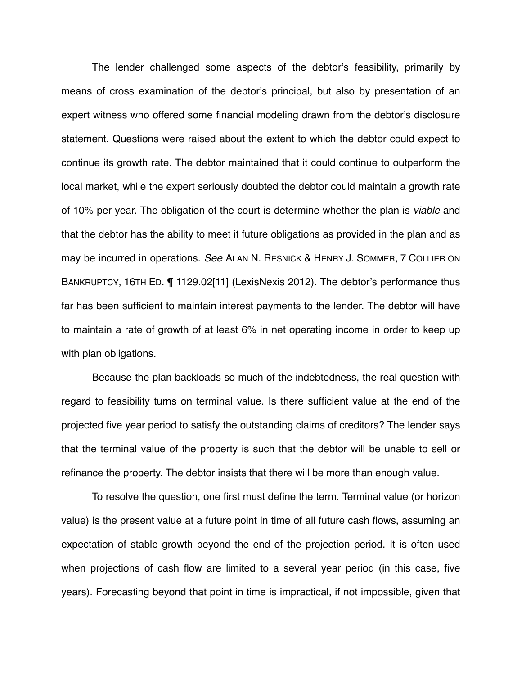The lender challenged some aspects of the debtor's feasibility, primarily by means of cross examination of the debtor's principal, but also by presentation of an expert witness who offered some financial modeling drawn from the debtor's disclosure statement. Questions were raised about the extent to which the debtor could expect to continue its growth rate. The debtor maintained that it could continue to outperform the local market, while the expert seriously doubted the debtor could maintain a growth rate of 10% per year. The obligation of the court is determine whether the plan is *viable* and that the debtor has the ability to meet it future obligations as provided in the plan and as may be incurred in operations. *See* ALAN N. RESNICK & HENRY J. SOMMER, 7 COLLIER ON BANKRUPTCY, 16TH ED. ¶ 1129.02[11] (LexisNexis 2012). The debtor's performance thus far has been sufficient to maintain interest payments to the lender. The debtor will have to maintain a rate of growth of at least 6% in net operating income in order to keep up with plan obligations.

Because the plan backloads so much of the indebtedness, the real question with regard to feasibility turns on terminal value. Is there sufficient value at the end of the projected five year period to satisfy the outstanding claims of creditors? The lender says that the terminal value of the property is such that the debtor will be unable to sell or refinance the property. The debtor insists that there will be more than enough value.

To resolve the question, one first must define the term. Terminal value (or horizon value) is the present value at a future point in time of all future cash flows, assuming an expectation of stable growth beyond the end of the projection period. It is often used when projections of cash flow are limited to a several year period (in this case, five years). Forecasting beyond that point in time is impractical, if not impossible, given that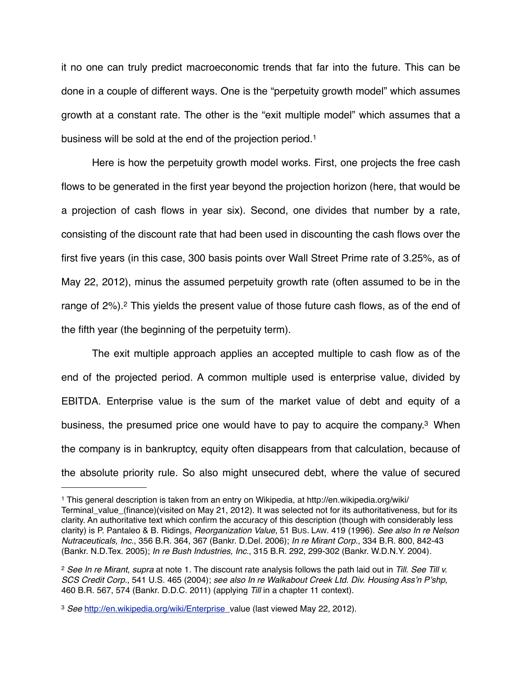it no one can truly predict macroeconomic trends that far into the future. This can be done in a couple of different ways. One is the "perpetuity growth model" which assumes growth at a constant rate. The other is the "exit multiple model" which assumes that a business will be sold at the end of the projection period.[1](#page-3-0)

Here is how the perpetuity growth model works. First, one projects the free cash flows to be generated in the first year beyond the projection horizon (here, that would be a projection of cash flows in year six). Second, one divides that number by a rate, consisting of the discount rate that had been used in discounting the cash flows over the first five years (in this case, 300 basis points over Wall Street Prime rate of 3.25%, as of May 22, 2012), minus the assumed perpetuity growth rate (often assumed to be in the range of [2](#page-3-1)%).<sup>2</sup> This yields the present value of those future cash flows, as of the end of the fifth year (the beginning of the perpetuity term).

The exit multiple approach applies an accepted multiple to cash flow as of the end of the projected period. A common multiple used is enterprise value, divided by EBITDA. Enterprise value is the sum of the market value of debt and equity of a business, the presumed price one would have to pay to acquire the company[.3](#page-3-2) When the company is in bankruptcy, equity often disappears from that calculation, because of the absolute priority rule. So also might unsecured debt, where the value of secured

<span id="page-3-0"></span><sup>1</sup> This general description is taken from an entry on Wikipedia, at http://en.wikipedia.org/wiki/ Terminal\_value\_(finance)(visited on May 21, 2012). It was selected not for its authoritativeness, but for its clarity. An authoritative text which confirm the accuracy of this description (though with considerably less clarity) is P. Pantaleo & B. Ridings, *Reorganization Value*, 51 BUS. LAW. 419 (1996). *See also In re Nelson Nutraceuticals, Inc.*, 356 B.R. 364, 367 (Bankr. D.Del. 2006); *In re Mirant Corp.*, 334 B.R. 800, 842-43 (Bankr. N.D.Tex. 2005); *In re Bush Industries, Inc.*, 315 B.R. 292, 299-302 (Bankr. W.D.N.Y. 2004).

<span id="page-3-1"></span><sup>2</sup> *See In re Mirant*, *supra* at note 1. The discount rate analysis follows the path laid out in *Till*. *See Till v. SCS Credit Corp.*, 541 U.S. 465 (2004); *see also In re Walkabout Creek Ltd. Div. Housing Ass*'*n P*'*shp*, 460 B.R. 567, 574 (Bankr. D.D.C. 2011) (applying *Till* in a chapter 11 context).

<span id="page-3-2"></span><sup>3</sup> *See* [http://en.wikipedia.org/wiki/Enterprise\\_value \(last viewed May 22, 2012\).](http://en.wikpedia.org/wiki/Enterprise)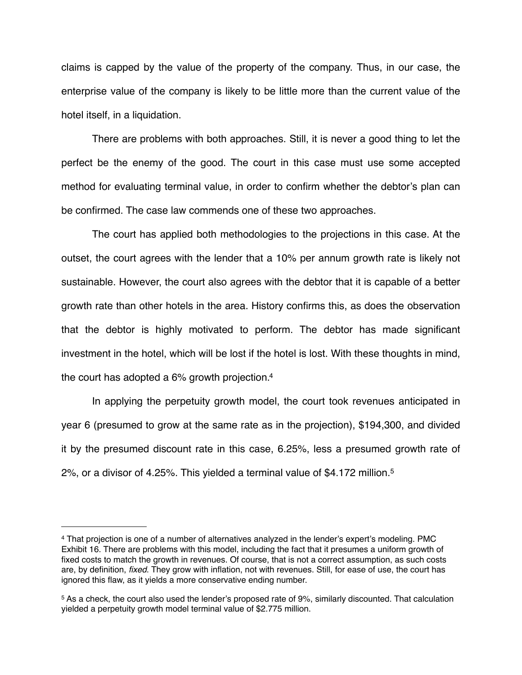claims is capped by the value of the property of the company. Thus, in our case, the enterprise value of the company is likely to be little more than the current value of the hotel itself, in a liquidation.

There are problems with both approaches. Still, it is never a good thing to let the perfect be the enemy of the good. The court in this case must use some accepted method for evaluating terminal value, in order to confirm whether the debtor's plan can be confirmed. The case law commends one of these two approaches.

The court has applied both methodologies to the projections in this case. At the outset, the court agrees with the lender that a 10% per annum growth rate is likely not sustainable. However, the court also agrees with the debtor that it is capable of a better growth rate than other hotels in the area. History confirms this, as does the observation that the debtor is highly motivated to perform. The debtor has made significant investment in the hotel, which will be lost if the hotel is lost. With these thoughts in mind, the court has adopted a 6% growth projection[.4](#page-4-0)

In applying the perpetuity growth model, the court took revenues anticipated in year 6 (presumed to grow at the same rate as in the projection), \$194,300, and divided it by the presumed discount rate in this case, 6.25%, less a presumed growth rate of 2%, or a divisor of 4.25%. This yielded a terminal value of \$4.172 million[.5](#page-4-1)

<span id="page-4-0"></span><sup>4</sup> That projection is one of a number of alternatives analyzed in the lender's expert's modeling. PMC Exhibit 16. There are problems with this model, including the fact that it presumes a uniform growth of fixed costs to match the growth in revenues. Of course, that is not a correct assumption, as such costs are, by definition, *fixed*. They grow with inflation, not with revenues. Still, for ease of use, the court has ignored this flaw, as it yields a more conservative ending number.

<span id="page-4-1"></span><sup>5</sup> As a check, the court also used the lender's proposed rate of 9%, similarly discounted. That calculation yielded a perpetuity growth model terminal value of \$2.775 million.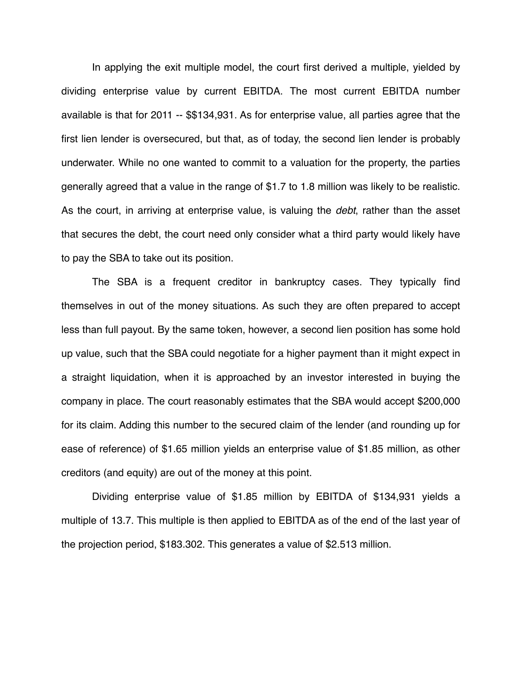In applying the exit multiple model, the court first derived a multiple, yielded by dividing enterprise value by current EBITDA. The most current EBITDA number available is that for 2011 -- \$\$134,931. As for enterprise value, all parties agree that the first lien lender is oversecured, but that, as of today, the second lien lender is probably underwater. While no one wanted to commit to a valuation for the property, the parties generally agreed that a value in the range of \$1.7 to 1.8 million was likely to be realistic. As the court, in arriving at enterprise value, is valuing the *debt*, rather than the asset that secures the debt, the court need only consider what a third party would likely have to pay the SBA to take out its position.

The SBA is a frequent creditor in bankruptcy cases. They typically find themselves in out of the money situations. As such they are often prepared to accept less than full payout. By the same token, however, a second lien position has some hold up value, such that the SBA could negotiate for a higher payment than it might expect in a straight liquidation, when it is approached by an investor interested in buying the company in place. The court reasonably estimates that the SBA would accept \$200,000 for its claim. Adding this number to the secured claim of the lender (and rounding up for ease of reference) of \$1.65 million yields an enterprise value of \$1.85 million, as other creditors (and equity) are out of the money at this point.

Dividing enterprise value of \$1.85 million by EBITDA of \$134,931 yields a multiple of 13.7. This multiple is then applied to EBITDA as of the end of the last year of the projection period, \$183.302. This generates a value of \$2.513 million.